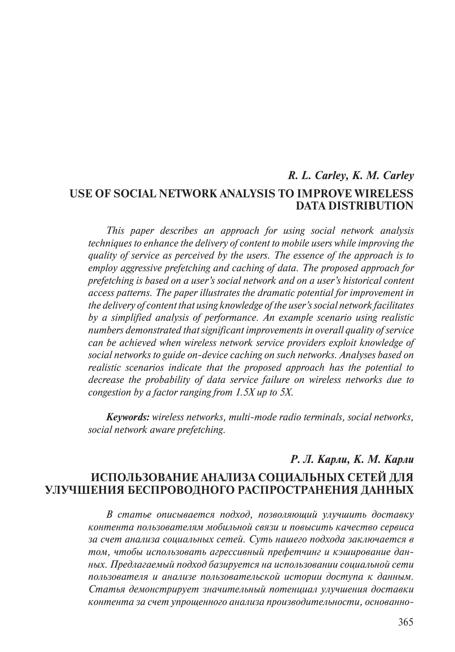# *R. L. Carley, K. M. Carley* **Use of Social Network Analysis to Improve Wireless DATA DISTRIBUTION**

*This paper describes an approach for using social network analysis techniques to enhance the delivery of content to mobile users while improving the quality of service as perceived by the users. The essence of the approach is to employ aggressive prefetching and caching of data. The proposed approach for prefetching is based on a user's social network and on a user's historical content access patterns. The paper illustrates the dramatic potential for improvement in the delivery of content that using knowledge of the user's social network facilitates by a simplified analysis of performance. An example scenario using realistic numbers demonstrated that significant improvements in overall quality of service can be achieved when wireless network service providers exploit knowledge of social networks to guide on-device caching on such networks. Analyses based on realistic scenarios indicate that the proposed approach has the potential to decrease the probability of data service failure on wireless networks due to congestion by a factor ranging from 1.5X up to 5X.*

*Keywords: wireless networks, multi-mode radio terminals, social networks, social network aware prefetching.*

# *Р. Л. Карли, К. М. Карли* **Использование анализа социальных сетей для улучшения беспроводного распространения данных**

*В статье описывается подход, позволяющий улучшить доставку контента пользователям мобильной связи и повысить качество сервиса за счет анализа социальных сетей. Суть нашего подхода заключается в том, чтобы использовать агрессивный префетчинг и кэширование данных. Предлагаемый подход базируется на использовании социальной сети пользователя и анализе пользовательской истории доступа к данным. Статья демонстрирует значительный потенциал улучшения доставки контента за счет упрощенного анализа производительности, основанно-*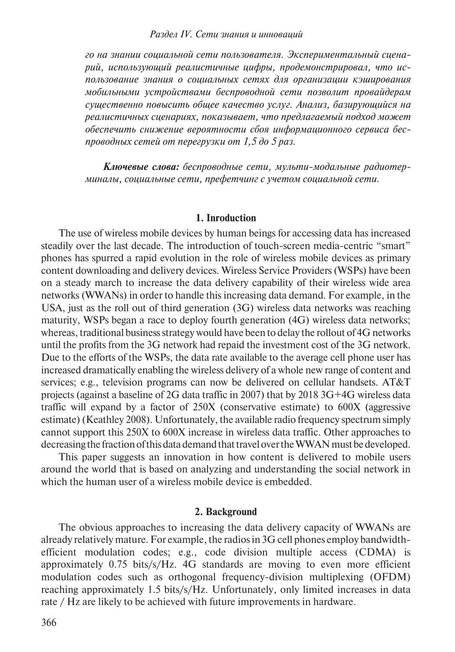#### *Раздел iV. Сети знания и инноваций*

*го на знании социальной сети пользователя. Экспериментальный сценарий, использующий реалистичные цифры, продемонстрировал, что использование знания о социальных сетях для организации кэширования мобильными устройствами беспроводной сети позволит провайдерам существенно повысить общее качество услуг. Анализ, базирующийся на реалистичных сценариях, показывает, что предлагаемый подход может обеспечить снижение вероятности сбоя информационного сервиса беспроводных сетей от перегрузки от 1,5 до 5 раз.*

*Ключевые слова: беспроводные сети, мульти-модальные радиотерминалы, социальные сети, префетчинг с учетом социальной сети.*

#### **1. Inroduction**

The use of wireless mobile devices by human beings for accessing data has increased steadily over the last decade. The introduction of touch-screen media-centric "smart" phones has spurred a rapid evolution in the role of wireless mobile devices as primary content downloading and delivery devices. Wireless Service Providers (WSPs) have been on a steady march to increase the data delivery capability of their wireless wide area networks (WWANs) in order to handle this increasing data demand. For example, in the USA, just as the roll out of third generation (3G) wireless data networks was reaching maturity, WSPs began a race to deploy fourth generation (4G) wireless data networks; whereas, traditional business strategy would have been to delay the rollout of 4G networks until the profits from the 3G network had repaid the investment cost of the 3G network. Due to the efforts of the WSPs, the data rate available to the average cell phone user has increased dramatically enabling the wireless delivery of a whole new range of content and services; e.g., television programs can now be delivered on cellular handsets. AT&T projects (against a baseline of 2G data traffic in 2007) that by 2018 3G+4G wireless data traffic will expand by a factor of 250X (conservative estimate) to 600X (aggressive estimate) (Keathley 2008). Unfortunately, the available radio frequency spectrum simply cannot support this 250X to 600X increase in wireless data traffic. Other approaches to decreasing the fraction of this data demand that travel over the WWAN must be developed.

This paper suggests an innovation in how content is delivered to mobile users around the world that is based on analyzing and understanding the social network in which the human user of a wireless mobile device is embedded.

# **2. Background**

The obvious approaches to increasing the data delivery capacity of WWANs are already relatively mature. For example, the radios in 3G cell phones employ bandwidthefficient modulation codes; e.g., code division multiple access (CDMA) is approximately 0.75 bits/s/Hz. 4G standards are moving to even more efficient modulation codes such as orthogonal frequency-division multiplexing (OFDM) reaching approximately 1.5 bits/s/Hz. Unfortunately, only limited increases in data rate / Hz are likely to be achieved with future improvements in hardware.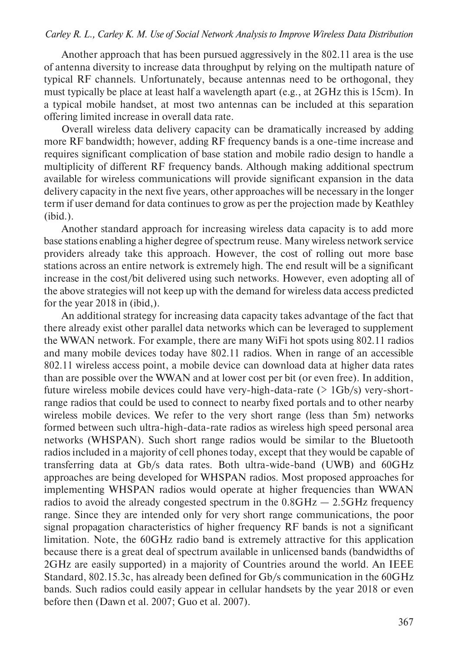#### *Carley R. L., Carley K. M. Use of Social Network Analysis to Improve Wireless Data Distribution*

Another approach that has been pursued aggressively in the 802.11 area is the use of antenna diversity to increase data throughput by relying on the multipath nature of typical RF channels. Unfortunately, because antennas need to be orthogonal, they must typically be place at least half a wavelength apart (e.g., at 2GHz this is 15cm). In a typical mobile handset, at most two antennas can be included at this separation offering limited increase in overall data rate.

Overall wireless data delivery capacity can be dramatically increased by adding more RF bandwidth; however, adding RF frequency bands is a one-time increase and requires significant complication of base station and mobile radio design to handle a multiplicity of different RF frequency bands. Although making additional spectrum available for wireless communications will provide significant expansion in the data delivery capacity in the next five years, other approaches will be necessary in the longer term if user demand for data continues to grow as per the projection made by Keathley (ibid.).

Another standard approach for increasing wireless data capacity is to add more base stations enabling a higher degree of spectrum reuse. Many wireless network service providers already take this approach. However, the cost of rolling out more base stations across an entire network is extremely high. The end result will be a significant increase in the cost/bit delivered using such networks. However, even adopting all of the above strategies will not keep up with the demand for wireless data access predicted for the year 2018 in (ibid,).

An additional strategy for increasing data capacity takes advantage of the fact that there already exist other parallel data networks which can be leveraged to supplement the WWAN network. For example, there are many WiFi hot spots using 802.11 radios and many mobile devices today have 802.11 radios. When in range of an accessible 802.11 wireless access point, a mobile device can download data at higher data rates than are possible over the WWAN and at lower cost per bit (or even free). In addition, future wireless mobile devices could have very-high-data-rate (> 1Gb/s) very-shortrange radios that could be used to connect to nearby fixed portals and to other nearby wireless mobile devices. We refer to the very short range (less than 5m) networks formed between such ultra-high-data-rate radios as wireless high speed personal area networks (WHSPAN). Such short range radios would be similar to the Bluetooth radios included in a majority of cell phones today, except that they would be capable of transferring data at Gb/s data rates. Both ultra-wide-band (UWB) and 60GHz approaches are being developed for WHSPAN radios. Most proposed approaches for implementing WHSPAN radios would operate at higher frequencies than WWAN radios to avoid the already congested spectrum in the  $0.8\text{GHz} - 2.5\text{GHz}$  frequency range. Since they are intended only for very short range communications, the poor signal propagation characteristics of higher frequency RF bands is not a significant limitation. Note, the 60GHz radio band is extremely attractive for this application because there is a great deal of spectrum available in unlicensed bands (bandwidths of 2GHz are easily supported) in a majority of Countries around the world. An IEEE Standard, 802.15.3c, has already been defined for Gb/s communication in the 60GHz bands. Such radios could easily appear in cellular handsets by the year 2018 or even before then (Dawn et al. 2007; Guo et al. 2007).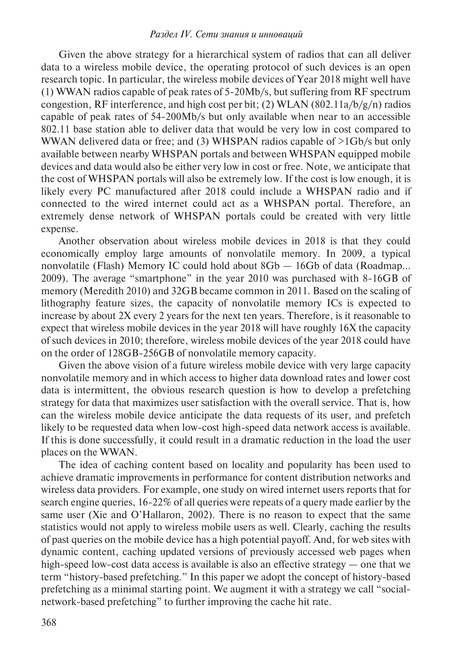#### *Раздел iV. Сети знания и инноваций*

Given the above strategy for a hierarchical system of radios that can all deliver data to a wireless mobile device, the operating protocol of such devices is an open research topic. In particular, the wireless mobile devices of Year 2018 might well have (1) WWAN radios capable of peak rates of 5-20Mb/s, but suffering from RF spectrum congestion, RF interference, and high cost per bit; (2) WLAN (802.11a/b/g/n) radios capable of peak rates of 54-200Mb/s but only available when near to an accessible 802.11 base station able to deliver data that would be very low in cost compared to WWAN delivered data or free; and (3) WHSPAN radios capable of >1Gb/s but only available between nearby WHSPAN portals and between WHSPAN equipped mobile devices and data would also be either very low in cost or free. Note, we anticipate that the cost of WHSPAN portals will also be extremely low. If the cost is low enough, it is likely every PC manufactured after 2018 could include a WHSPAN radio and if connected to the wired internet could act as a WHSPAN portal. Therefore, an extremely dense network of WHSPAN portals could be created with very little expense.

Another observation about wireless mobile devices in 2018 is that they could economically employ large amounts of nonvolatile memory. In 2009, a typical nonvolatile (Flash) Memory IC could hold about 8Gb — 16Gb of data (Roadmap… 2009). The average "smartphone" in the year 2010 was purchased with 8-16GB of memory (Meredith 2010) and 32GB became common in 2011. Based on the scaling of lithography feature sizes, the capacity of nonvolatile memory ICs is expected to increase by about 2X every 2 years for the next ten years. Therefore, is it reasonable to expect that wireless mobile devices in the year 2018 will have roughly 16X the capacity of such devices in 2010; therefore, wireless mobile devices of the year 2018 could have on the order of 128GB-256GB of nonvolatile memory capacity.

Given the above vision of a future wireless mobile device with very large capacity nonvolatile memory and in which access to higher data download rates and lower cost data is intermittent, the obvious research question is how to develop a prefetching strategy for data that maximizes user satisfaction with the overall service. That is, how can the wireless mobile device anticipate the data requests of its user, and prefetch likely to be requested data when low-cost high-speed data network access is available. If this is done successfully, it could result in a dramatic reduction in the load the user places on the WWAN.

The idea of caching content based on locality and popularity has been used to achieve dramatic improvements in performance for content distribution networks and wireless data providers. For example, one study on wired internet users reports that for search engine queries, 16-22% of all queries were repeats of a query made earlier by the same user (Xie and O'Hallaron, 2002). There is no reason to expect that the same statistics would not apply to wireless mobile users as well. Clearly, caching the results of past queries on the mobile device has a high potential payoff. And, for web sites with dynamic content, caching updated versions of previously accessed web pages when high-speed low-cost data access is available is also an effective strategy — one that we term "history-based prefetching." In this paper we adopt the concept of history-based prefetching as a minimal starting point. We augment it with a strategy we call "socialnetwork-based prefetching" to further improving the cache hit rate.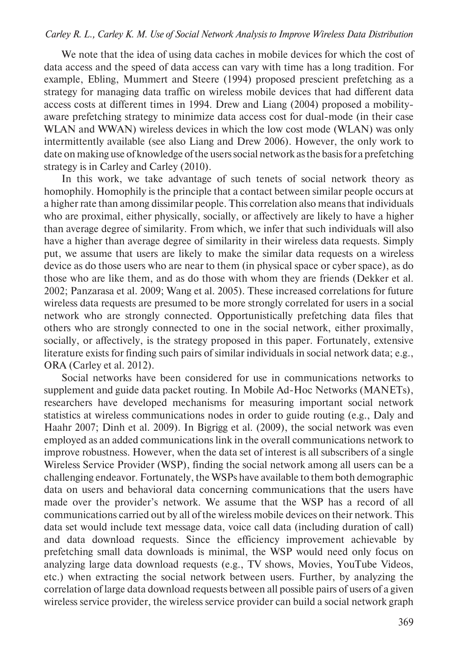## *Carley R. L., Carley K. M. Use of Social Network Analysis to Improve Wireless Data Distribution*

We note that the idea of using data caches in mobile devices for which the cost of data access and the speed of data access can vary with time has a long tradition. For example, Ebling, Mummert and Steere (1994) proposed prescient prefetching as a strategy for managing data traffic on wireless mobile devices that had different data access costs at different times in 1994. Drew and Liang (2004) proposed a mobilityaware prefetching strategy to minimize data access cost for dual-mode (in their case WLAN and WWAN) wireless devices in which the low cost mode (WLAN) was only intermittently available (see also Liang and Drew 2006). However, the only work to date on making use of knowledge of the users social network as the basis for a prefetching strategy is in Carley and Carley (2010).

In this work, we take advantage of such tenets of social network theory as homophily. Homophily is the principle that a contact between similar people occurs at a higher rate than among dissimilar people. This correlation also means that individuals who are proximal, either physically, socially, or affectively are likely to have a higher than average degree of similarity. From which, we infer that such individuals will also have a higher than average degree of similarity in their wireless data requests. Simply put, we assume that users are likely to make the similar data requests on a wireless device as do those users who are near to them (in physical space or cyber space), as do those who are like them, and as do those with whom they are friends (Dekker et al. 2002; Panzarasa et al. 2009; Wang et al. 2005). These increased correlations for future wireless data requests are presumed to be more strongly correlated for users in a social network who are strongly connected. Opportunistically prefetching data files that others who are strongly connected to one in the social network, either proximally, socially, or affectively, is the strategy proposed in this paper. Fortunately, extensive literature exists for finding such pairs of similar individuals in social network data; e.g., ORA (Carley et al. 2012).

Social networks have been considered for use in communications networks to supplement and guide data packet routing. In Mobile Ad-Hoc Networks (MANETs), researchers have developed mechanisms for measuring important social network statistics at wireless communications nodes in order to guide routing (e.g., Daly and Haahr 2007; Dinh et al. 2009). In Bigrigg et al. (2009), the social network was even employed as an added communications link in the overall communications network to improve robustness. However, when the data set of interest is all subscribers of a single Wireless Service Provider (WSP), finding the social network among all users can be a challenging endeavor. Fortunately, the WSPs have available to them both demographic data on users and behavioral data concerning communications that the users have made over the provider's network. We assume that the WSP has a record of all communications carried out by all of the wireless mobile devices on their network. This data set would include text message data, voice call data (including duration of call) and data download requests. Since the efficiency improvement achievable by prefetching small data downloads is minimal, the WSP would need only focus on analyzing large data download requests (e.g., TV shows, Movies, YouTube Videos, etc.) when extracting the social network between users. Further, by analyzing the correlation of large data download requests between all possible pairs of users of a given wireless service provider, the wireless service provider can build a social network graph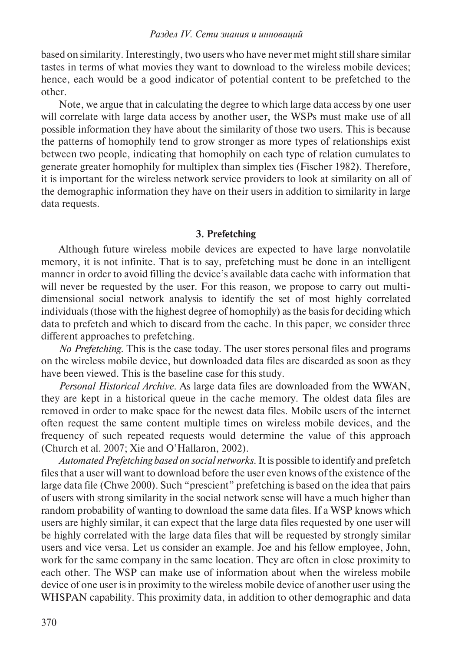based on similarity. Interestingly, two users who have never met might still share similar tastes in terms of what movies they want to download to the wireless mobile devices; hence, each would be a good indicator of potential content to be prefetched to the other.

Note, we argue that in calculating the degree to which large data access by one user will correlate with large data access by another user, the WSPs must make use of all possible information they have about the similarity of those two users. This is because the patterns of homophily tend to grow stronger as more types of relationships exist between two people, indicating that homophily on each type of relation cumulates to generate greater homophily for multiplex than simplex ties (Fischer 1982). Therefore, it is important for the wireless network service providers to look at similarity on all of the demographic information they have on their users in addition to similarity in large data requests.

## **3. Prefetching**

Although future wireless mobile devices are expected to have large nonvolatile memory, it is not infinite. That is to say, prefetching must be done in an intelligent manner in order to avoid filling the device's available data cache with information that will never be requested by the user. For this reason, we propose to carry out multidimensional social network analysis to identify the set of most highly correlated individuals (those with the highest degree of homophily) as the basis for deciding which data to prefetch and which to discard from the cache. In this paper, we consider three different approaches to prefetching.

*No Prefetching*. This is the case today. The user stores personal files and programs on the wireless mobile device, but downloaded data files are discarded as soon as they have been viewed. This is the baseline case for this study.

*Personal Historical Archive.* As large data files are downloaded from the WWAN, they are kept in a historical queue in the cache memory. The oldest data files are removed in order to make space for the newest data files. Mobile users of the internet often request the same content multiple times on wireless mobile devices, and the frequency of such repeated requests would determine the value of this approach (Church et al. 2007; Xie and O'Hallaron, 2002).

*Automated Prefetching based on social networks*. It is possible to identify and prefetch files that a user will want to download before the user even knows of the existence of the large data file (Chwe 2000). Such "prescient" prefetching is based on the idea that pairs of users with strong similarity in the social network sense will have a much higher than random probability of wanting to download the same data files. If a WSP knows which users are highly similar, it can expect that the large data files requested by one user will be highly correlated with the large data files that will be requested by strongly similar users and vice versa. Let us consider an example. Joe and his fellow employee, John, work for the same company in the same location. They are often in close proximity to each other. The WSP can make use of information about when the wireless mobile device of one user is in proximity to the wireless mobile device of another user using the WHSPAN capability. This proximity data, in addition to other demographic and data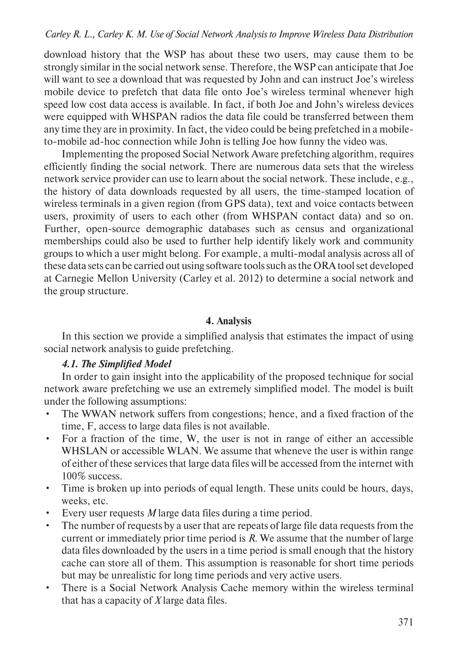# *Carley R. L., Carley K. M. Use of Social Network Analysis to Improve Wireless Data Distribution*

download history that the WSP has about these two users, may cause them to be strongly similar in the social network sense. Therefore, the WSP can anticipate that Joe will want to see a download that was requested by John and can instruct Joe's wireless mobile device to prefetch that data file onto Joe's wireless terminal whenever high speed low cost data access is available. In fact, if both Joe and John's wireless devices were equipped with WHSPAN radios the data file could be transferred between them any time they are in proximity. In fact, the video could be being prefetched in a mobileto-mobile ad-hoc connection while John is telling Joe how funny the video was.

Implementing the proposed Social Network Aware prefetching algorithm, requires efficiently finding the social network. There are numerous data sets that the wireless network service provider can use to learn about the social network. These include, e.g., the history of data downloads requested by all users, the time-stamped location of wireless terminals in a given region (from GPS data), text and voice contacts between users, proximity of users to each other (from WHSPAN contact data) and so on. Further, open-source demographic databases such as census and organizational memberships could also be used to further help identify likely work and community groups to which a user might belong. For example, a multi-modal analysis across all of these data sets can be carried out using software tools such as the ORA tool set developed at Carnegie Mellon University (Carley et al. 2012) to determine a social network and the group structure.

#### **4. Analysis**

In this section we provide a simplified analysis that estimates the impact of using social network analysis to guide prefetching.

## *4.1. The Simplified Model*

In order to gain insight into the applicability of the proposed technique for social network aware prefetching we use an extremely simplified model. The model is built under the following assumptions:

- The WWAN network suffers from congestions; hence, and a fixed fraction of the time, F, access to large data files is not available.
- For a fraction of the time, W, the user is not in range of either an accessible WHSLAN or accessible WLAN. We assume that wheneve the user is within range of either of these services that large data files will be accessed from the internet with 100% success.
- Time is broken up into periods of equal length. These units could be hours, days, weeks, etc.
- Every user requests *M* large data files during a time period.
- The number of requests by a user that are repeats of large file data requests from the current or immediately prior time period is *R*. We assume that the number of large data files downloaded by the users in a time period is small enough that the history cache can store all of them. This assumption is reasonable for short time periods but may be unrealistic for long time periods and very active users.
- There is a Social Network Analysis Cache memory within the wireless terminal that has a capacity of *X* large data files.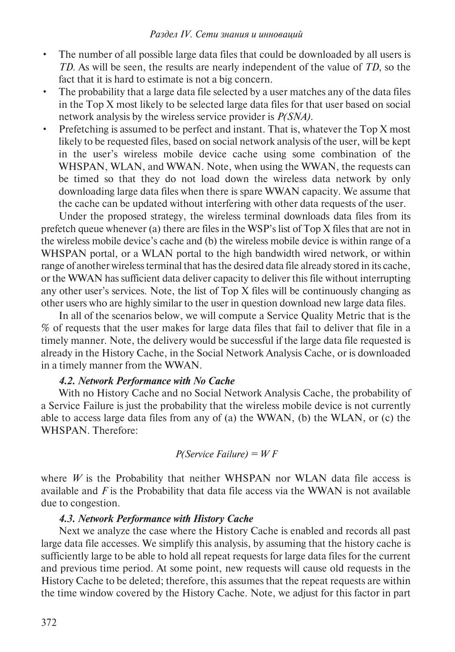- The number of all possible large data files that could be downloaded by all users is *TD*. As will be seen, the results are nearly independent of the value of *TD*, so the fact that it is hard to estimate is not a big concern.
- The probability that a large data file selected by a user matches any of the data files in the Top X most likely to be selected large data files for that user based on social network analysis by the wireless service provider is *P(SNA)*.
- Prefetching is assumed to be perfect and instant. That is, whatever the Top X most likely to be requested files, based on social network analysis of the user, will be kept in the user's wireless mobile device cache using some combination of the WHSPAN, WLAN, and WWAN. Note, when using the WWAN, the requests can be timed so that they do not load down the wireless data network by only downloading large data files when there is spare WWAN capacity. We assume that the cache can be updated without interfering with other data requests of the user.

Under the proposed strategy, the wireless terminal downloads data files from its prefetch queue whenever (a) there are files in the WSP's list of Top X files that are not in the wireless mobile device's cache and (b) the wireless mobile device is within range of a WHSPAN portal, or a WLAN portal to the high bandwidth wired network, or within range of another wireless terminal that has the desired data file already stored in its cache, or the WWAN has sufficient data deliver capacity to deliver this file without interrupting any other user's services. Note, the list of Top X files will be continuously changing as other users who are highly similar to the user in question download new large data files.

In all of the scenarios below, we will compute a Service Quality Metric that is the % of requests that the user makes for large data files that fail to deliver that file in a timely manner. Note, the delivery would be successful if the large data file requested is already in the History Cache, in the Social Network Analysis Cache, or is downloaded in a timely manner from the WWAN.

# *4.2. Network Performance with No Cache*

With no History Cache and no Social Network Analysis Cache, the probability of a Service Failure is just the probability that the wireless mobile device is not currently able to access large data files from any of (a) the WWAN, (b) the WLAN, or (c) the WHSPAN. Therefore:

# *P(Service Failure) = W F*

where  $W$  is the Probability that neither WHSPAN nor WLAN data file access is available and *F* is the Probability that data file access via the WWAN is not available due to congestion.

# *4.3. Network Performance with History Cache*

Next we analyze the case where the History Cache is enabled and records all past large data file accesses. We simplify this analysis, by assuming that the history cache is sufficiently large to be able to hold all repeat requests for large data files for the current and previous time period. At some point, new requests will cause old requests in the History Cache to be deleted; therefore, this assumes that the repeat requests are within the time window covered by the History Cache. Note, we adjust for this factor in part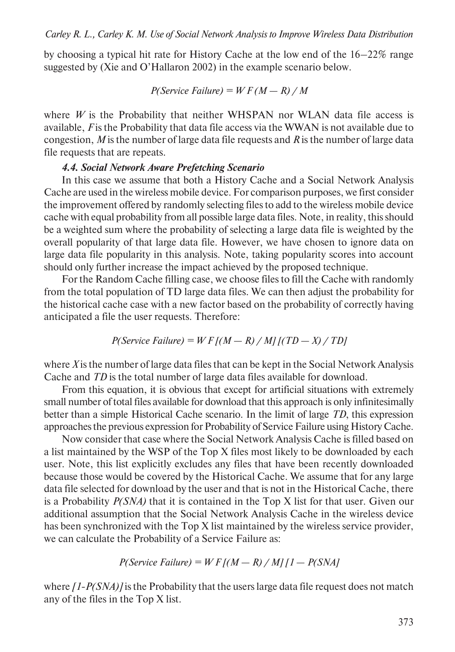by choosing a typical hit rate for History Cache at the low end of the 16–22% range suggested by (Xie and O'Hallaron 2002) in the example scenario below.

$$
P(Service Failure) = WF(M - R) / M
$$

where  $W$  is the Probability that neither WHSPAN nor WLAN data file access is available, *F* is the Probability that data file access via the WWAN is not available due to congestion, *M* is the number of large data file requests and *R* is the number of large data file requests that are repeats.

# *4.4. Social Network Aware Prefetching Scenario*

In this case we assume that both a History Cache and a Social Network Analysis Cache are used in the wireless mobile device. For comparison purposes, we first consider the improvement offered by randomly selecting files to add to the wireless mobile device cache with equal probability from all possible large data files. Note, in reality, this should be a weighted sum where the probability of selecting a large data file is weighted by the overall popularity of that large data file. However, we have chosen to ignore data on large data file popularity in this analysis. Note, taking popularity scores into account should only further increase the impact achieved by the proposed technique.

For the Random Cache filling case, we choose files to fill the Cache with randomly from the total population of TD large data files. We can then adjust the probability for the historical cache case with a new factor based on the probability of correctly having anticipated a file the user requests. Therefore:

$$
P(Service Failure) = WF[(M - R) / M] [(TD - X) / TD]
$$

where *X* is the number of large data files that can be kept in the Social Network Analysis Cache and *TD* is the total number of large data files available for download.

From this equation, it is obvious that except for artificial situations with extremely small number of total files available for download that this approach is only infinitesimally better than a simple Historical Cache scenario. In the limit of large *TD*, this expression approaches the previous expression for Probability of Service Failure using History Cache.

Now consider that case where the Social Network Analysis Cache is filled based on a list maintained by the WSP of the Top X files most likely to be downloaded by each user. Note, this list explicitly excludes any files that have been recently downloaded because those would be covered by the Historical Cache. We assume that for any large data file selected for download by the user and that is not in the Historical Cache, there is a Probability *P(SNA)* that it is contained in the Top X list for that user. Given our additional assumption that the Social Network Analysis Cache in the wireless device has been synchronized with the Top X list maintained by the wireless service provider, we can calculate the Probability of a Service Failure as:

$$
P(Service Failure) = WF[(M - R) / M][1 - P(SNA]
$$

where  $(1-P(SNA))$  is the Probability that the users large data file request does not match any of the files in the Top X list.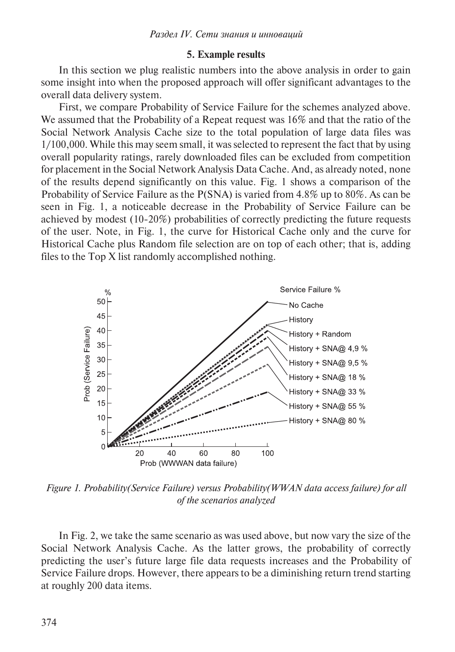# **5. Example results**

In this section we plug realistic numbers into the above analysis in order to gain some insight into when the proposed approach will offer significant advantages to the overall data delivery system.

First, we compare Probability of Service Failure for the schemes analyzed above. We assumed that the Probability of a Repeat request was 16% and that the ratio of the Social Network Analysis Cache size to the total population of large data files was 1/100,000. While this may seem small, it was selected to represent the fact that by using overall popularity ratings, rarely downloaded files can be excluded from competition for placement in the Social Network Analysis Data Cache. And, as already noted, none of the results depend significantly on this value. Fig. 1 shows a comparison of the Probability of Service Failure as the P(SNA) is varied from 4.8% up to 80%. As can be seen in Fig. 1, a noticeable decrease in the Probability of Service Failure can be achieved by modest (10-20%) probabilities of correctly predicting the future requests of the user. Note, in Fig. 1, the curve for Historical Cache only and the curve for Historical Cache plus Random file selection are on top of each other; that is, adding files to the Top X list randomly accomplished nothing.



*Figure 1. Probability(Service Failure) versus Probability(WWAN data access failure) for all of the scenarios analyzed*

In Fig. 2, we take the same scenario as was used above, but now vary the size of the Social Network Analysis Cache. As the latter grows, the probability of correctly predicting the user's future large file data requests increases and the Probability of Service Failure drops. However, there appears to be a diminishing return trend starting at roughly 200 data items.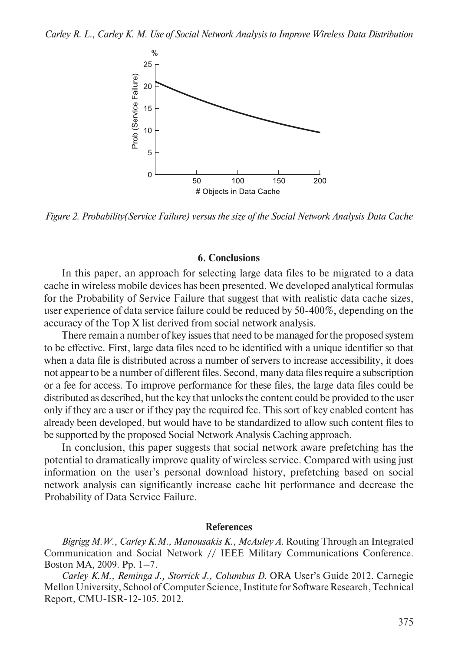

*Figure 2. Probability(Service Failure) versus the size of the Social Network Analysis Data Cache*

## **6. Conclusions**

In this paper, an approach for selecting large data files to be migrated to a data cache in wireless mobile devices has been presented. We developed analytical formulas for the Probability of Service Failure that suggest that with realistic data cache sizes, user experience of data service failure could be reduced by 50-400%, depending on the accuracy of the Top X list derived from social network analysis.

There remain a number of key issues that need to be managed for the proposed system to be effective. First, large data files need to be identified with a unique identifier so that when a data file is distributed across a number of servers to increase accessibility, it does not appear to be a number of different files. Second, many data files require a subscription or a fee for access. To improve performance for these files, the large data files could be distributed as described, but the key that unlocks the content could be provided to the user only if they are a user or if they pay the required fee. This sort of key enabled content has already been developed, but would have to be standardized to allow such content files to be supported by the proposed Social Network Analysis Caching approach.

In conclusion, this paper suggests that social network aware prefetching has the potential to dramatically improve quality of wireless service. Compared with using just information on the user's personal download history, prefetching based on social network analysis can significantly increase cache hit performance and decrease the Probability of Data Service Failure.

#### **References**

*Bigrigg M.W., Carley K.M., Manousakis K., McAuley A*. Routing Through an Integrated Communication and Social Network // IEEE Military Communications Conference. Boston MA, 2009. Pp. 1–7.

*Carley K.M., Reminga J., Storrick J., Columbus D*. ORA User's Guide 2012. Carnegie Mellon University, School of Computer Science, Institute for Software Research, Technical Report, CMU-ISR-12-105. 2012.